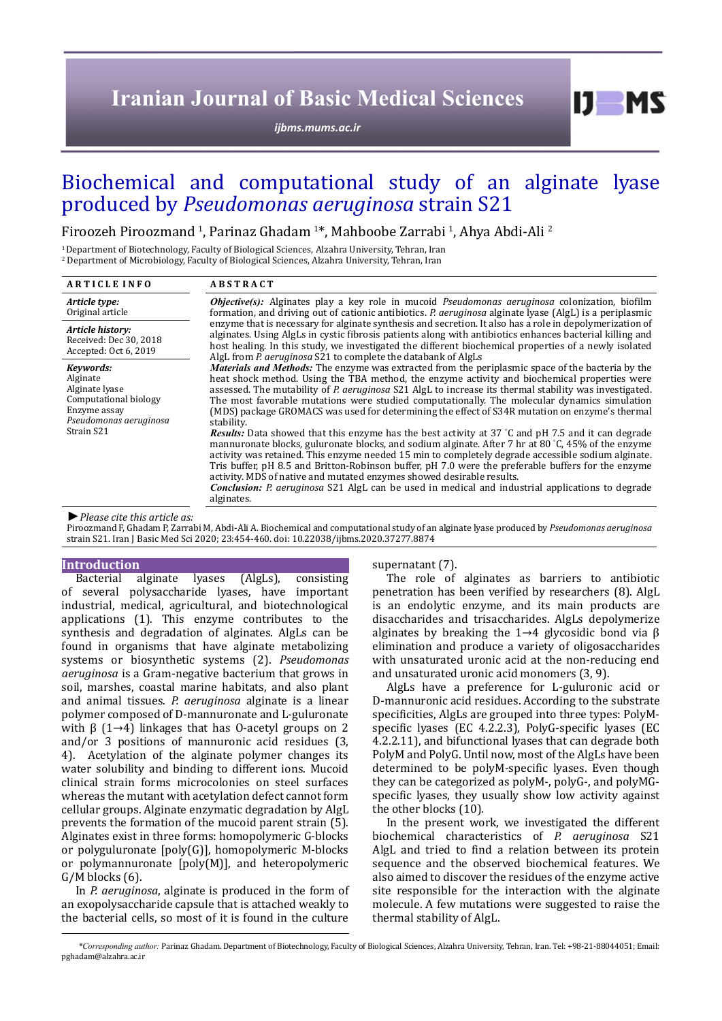# **Iranian Journal of Basic Medical Sciences**

*[ijbms.mums.ac.ir](http://ijbms.mums.ac.ir)*

# Biochemical and computational study of an alginate lyase produced by *Pseudomonas aeruginosa* strain S21

Firoozeh Piroozmand <sup>1</sup>, Parinaz Ghadam <sup>1\*</sup>, Mahboobe Zarrabi <sup>1</sup>, Ahya Abdi-Ali <sup>2</sup>

1 Department of Biotechnology, Faculty of Biological Sciences, Alzahra University, Tehran, Iran

2 Department of Microbiology, Faculty of Biological Sciences, Alzahra University, Tehran, Iran

| <b>ARTICLE INFO</b>                                                                                        | <b>ABSTRACT</b>                                                                                                                                                                                                                                                                                                                                                                                                                                                                                                                                                                                                                                                                                                                                                                                                                                                                                                                                                                                                                                                                                                                                                          |
|------------------------------------------------------------------------------------------------------------|--------------------------------------------------------------------------------------------------------------------------------------------------------------------------------------------------------------------------------------------------------------------------------------------------------------------------------------------------------------------------------------------------------------------------------------------------------------------------------------------------------------------------------------------------------------------------------------------------------------------------------------------------------------------------------------------------------------------------------------------------------------------------------------------------------------------------------------------------------------------------------------------------------------------------------------------------------------------------------------------------------------------------------------------------------------------------------------------------------------------------------------------------------------------------|
| Article type:<br>Original article                                                                          | <b><i>Objective(s)</i></b> : Alginates play a key role in mucoid <i>Pseudomonas aeruginosa</i> colonization, biofilm<br>formation, and driving out of cationic antibiotics. P. aeruginosa alginate lyase (AlgL) is a periplasmic<br>enzyme that is necessary for alginate synthesis and secretion. It also has a role in depolymerization of<br>alginates. Using AlgLs in cystic fibrosis patients along with antibiotics enhances bacterial killing and<br>host healing. In this study, we investigated the different biochemical properties of a newly isolated<br>AlgL from P. aeruginosa S21 to complete the databank of AlgLs<br><b>Materials and Methods:</b> The enzyme was extracted from the periplasmic space of the bacteria by the<br>heat shock method. Using the TBA method, the enzyme activity and biochemical properties were<br>assessed. The mutability of P. aeruginosa S21 AlgL to increase its thermal stability was investigated.<br>The most favorable mutations were studied computationally. The molecular dynamics simulation<br>(MDS) package GROMACS was used for determining the effect of S34R mutation on enzyme's thermal<br>stability. |
| Article history:<br>Received: Dec 30, 2018<br>Accepted: Oct 6, 2019                                        |                                                                                                                                                                                                                                                                                                                                                                                                                                                                                                                                                                                                                                                                                                                                                                                                                                                                                                                                                                                                                                                                                                                                                                          |
| Kevwords:<br>Alginate<br>Alginate lyase<br>Computational biology<br>Enzyme assay<br>Pseudomonas aeruginosa |                                                                                                                                                                                                                                                                                                                                                                                                                                                                                                                                                                                                                                                                                                                                                                                                                                                                                                                                                                                                                                                                                                                                                                          |
| Strain S21                                                                                                 | <b>Results:</b> Data showed that this enzyme has the best activity at 37 °C and pH 7.5 and it can degrade<br>mannuronate blocks, guluronate blocks, and sodium alginate. After 7 hr at 80 °C, 45% of the enzyme<br>activity was retained. This enzyme needed 15 min to completely degrade accessible sodium alginate.<br>Tris buffer, pH 8.5 and Britton-Robinson buffer, pH 7.0 were the preferable buffers for the enzyme<br>activity. MDS of native and mutated enzymes showed desirable results.<br><b>Conclusion:</b> P. aeruginosa S21 AlgL can be used in medical and industrial applications to degrade<br>alginates.                                                                                                                                                                                                                                                                                                                                                                                                                                                                                                                                            |
| $\blacktriangleright$ Please cite this article as:                                                         |                                                                                                                                                                                                                                                                                                                                                                                                                                                                                                                                                                                                                                                                                                                                                                                                                                                                                                                                                                                                                                                                                                                                                                          |

*►Please cite this article as:*

Piroozmand F, Ghadam P, Zarrabi M, Abdi-Ali A. Biochemical and computational study of an alginate lyase produced by *Pseudomonas aeruginosa* strain S21. Iran J Basic Med Sci 2020; 23:454-460. doi: 10.22038/ijbms.2020.37277.8874

## **Introduction**

Bacterial alginate lyases (AlgLs), consisting of several polysaccharide lyases, have important industrial, medical, agricultural, and biotechnological applications (1). This enzyme contributes to the synthesis and degradation of alginates. AlgLs can be found in organisms that have alginate metabolizing systems or biosynthetic systems (2). *Pseudomonas aeruginosa* is a Gram-negative bacterium that grows in soil, marshes, coastal marine habitats, and also plant and animal tissues. *P. aeruginosa* alginate is a linear polymer composed of D-mannuronate and L-guluronate with  $\beta$  (1→4) linkages that has 0-acetyl groups on 2 and/or 3 positions of mannuronic acid residues (3, 4). Acetylation of the alginate polymer changes its water solubility and binding to different ions. Mucoid clinical strain forms microcolonies on steel surfaces whereas the mutant with acetylation defect cannot form cellular groups. Alginate enzymatic degradation by AlgL prevents the formation of the mucoid parent strain (5). Alginates exist in three forms: homopolymeric G-blocks or polyguluronate [poly(G)], homopolymeric M-blocks or polymannuronate [poly(M)], and heteropolymeric  $G/M$  blocks  $(6)$ .

In *P. aeruginosa*, alginate is produced in the form of an exopolysaccharide capsule that is attached weakly to the bacterial cells, so most of it is found in the culture

supernatant (7).

The role of alginates as barriers to antibiotic penetration has been verified by researchers (8). AlgL is an endolytic enzyme, and its main products are disaccharides and trisaccharides. AlgLs depolymerize alginates by breaking the 1→4 glycosidic bond via β elimination and produce a variety of oligosaccharides with unsaturated uronic acid at the non-reducing end and unsaturated uronic acid monomers (3, 9).

 $I$   $I$   $M$   $S$ 

AlgLs have a preference for L-guluronic acid or D-mannuronic acid residues. According to the substrate specificities, AlgLs are grouped into three types: PolyMspecific lyases (EC 4.2.2.3), PolyG-specific lyases (EC 4.2.2.11), and bifunctional lyases that can degrade both PolyM and PolyG. Until now, most of the AlgLs have been determined to be polyM-specific lyases. Even though they can be categorized as polyM-, polyG-, and polyMGspecific lyases, they usually show low activity against the other blocks (10).

In the present work, we investigated the different biochemical characteristics of *P. aeruginosa* S21 AlgL and tried to find a relation between its protein sequence and the observed biochemical features. We also aimed to discover the residues of the enzyme active site responsible for the interaction with the alginate molecule. A few mutations were suggested to raise the thermal stability of AlgL.

*\*Corresponding author:* Parinaz Ghadam. Department of Biotechnology, Faculty of Biological Sciences, Alzahra University, Tehran, Iran. Tel: +98-21-88044051; Email: pghadam@alzahra.ac.ir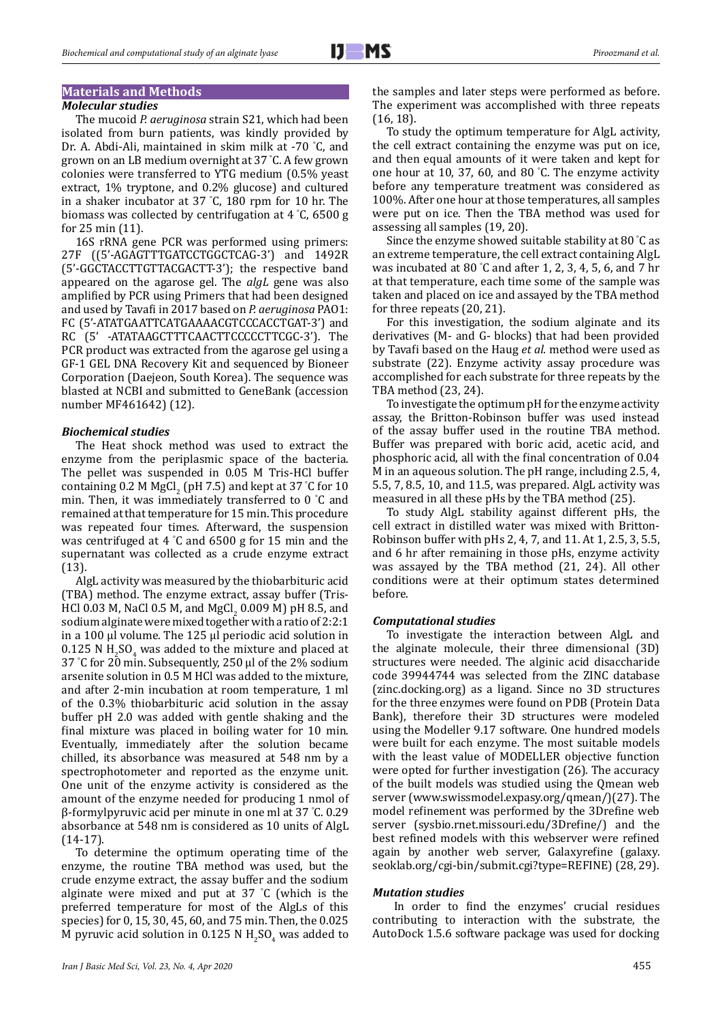# **Materials and Methods**

## *Molecular studies*

The mucoid *P. aeruginosa* strain S21, which had been isolated from burn patients, was kindly provided by Dr. A. Abdi-Ali, maintained in skim milk at -70 ° C, and grown on an LB medium overnight at 37 ° C. A few grown colonies were transferred to YTG medium (0.5% yeast extract, 1% tryptone, and 0.2% glucose) and cultured in a shaker incubator at 37 ° C, 180 rpm for 10 hr. The biomass was collected by centrifugation at 4 ° C, 6500 g for 25 min (11).

16S rRNA gene PCR was performed using primers: 27F ((5'-AGAGTTTGATCCTGGCTCAG-3') and 1492R (5'-GGCTACCTTGTTACGACTT-3'); the respective band appeared on the agarose gel. The *algL* gene was also amplified by PCR using Primers that had been designed and used by Tavafi in 2017 based on *P. aeruginosa* PAO1: FC (5'-ATATGAATTCATGAAAACGTCCCACCTGAT-3') and RC (5' -ATATAAGCTTTCAACTTCCCCCTTCGC-3'). The PCR product was extracted from the agarose gel using a GF-1 GEL DNA Recovery Kit and sequenced by Bioneer Corporation (Daejeon, South Korea). The sequence was blasted at NCBI and submitted to GeneBank (accession number MF461642) (12).

## *Biochemical studies*

The Heat shock method was used to extract the enzyme from the periplasmic space of the bacteria. The pellet was suspended in 0.05 M Tris-HCl buffer containing 0.2 M MgCl<sub>2</sub> (pH 7.5) and kept at 37 °C for 10 min. Then, it was immediately transferred to 0 ° C and remained at that temperature for 15 min. This procedure was repeated four times. Afterward, the suspension was centrifuged at 4 ° C and 6500 g for 15 min and the supernatant was collected as a crude enzyme extract (13).

AlgL activity was measured by the thiobarbituric acid (TBA) method. The enzyme extract, assay buffer (Tris-HCl 0.03 M, NaCl 0.5 M, and MgCl<sub>2</sub> 0.009 M) pH 8.5, and sodium alginate were mixed together with a ratio of 2:2:1 in a 100 µl volume. The 125 µl periodic acid solution in  $0.125$  N H<sub>2</sub>SO<sub>4</sub> was added to the mixture and placed at 37 ° C for 20 min. Subsequently, 250 µl of the 2% sodium arsenite solution in 0.5 M HCl was added to the mixture, and after 2-min incubation at room temperature, 1 ml of the 0.3% thiobarbituric acid solution in the assay buffer pH 2.0 was added with gentle shaking and the final mixture was placed in boiling water for 10 min. Eventually, immediately after the solution became chilled, its absorbance was measured at 548 nm by a spectrophotometer and reported as the enzyme unit. One unit of the enzyme activity is considered as the amount of the enzyme needed for producing 1 nmol of β-formylpyruvic acid per minute in one ml at 37 ° C. 0.29 absorbance at 548 nm is considered as 10 units of AlgL (14-17).

To determine the optimum operating time of the enzyme, the routine TBA method was used, but the crude enzyme extract, the assay buffer and the sodium alginate were mixed and put at 37 ° C (which is the preferred temperature for most of the AlgLs of this species) for 0, 15, 30, 45, 60, and 75 min. Then, the 0.025 M pyruvic acid solution in  $0.125$  N  $H_2SO_4$  was added to the samples and later steps were performed as before. The experiment was accomplished with three repeats (16, 18).

To study the optimum temperature for AlgL activity, the cell extract containing the enzyme was put on ice, and then equal amounts of it were taken and kept for one hour at 10, 37, 60, and 80 ° C. The enzyme activity before any temperature treatment was considered as 100%. After one hour at those temperatures, all samples were put on ice. Then the TBA method was used for assessing all samples (19, 20).

Since the enzyme showed suitable stability at 80 ° C as an extreme temperature, the cell extract containing AlgL was incubated at 80 ° C and after 1, 2, 3, 4, 5, 6, and 7 hr at that temperature, each time some of the sample was taken and placed on ice and assayed by the TBA method for three repeats (20, 21).

For this investigation, the sodium alginate and its derivatives (M- and G- blocks) that had been provided by Tavafi based on the Haug *et al.* method were used as substrate (22). Enzyme activity assay procedure was accomplished for each substrate for three repeats by the TBA method (23, 24).

To investigate the optimum pH for the enzyme activity assay, the Britton-Robinson buffer was used instead of the assay buffer used in the routine TBA method. Buffer was prepared with boric acid, acetic acid, and phosphoric acid, all with the final concentration of 0.04 M in an aqueous solution. The pH range, including 2.5, 4, 5.5, 7, 8.5, 10, and 11.5, was prepared. AlgL activity was measured in all these pHs by the TBA method (25).

To study AlgL stability against different pHs, the cell extract in distilled water was mixed with Britton-Robinson buffer with pHs 2, 4, 7, and 11. At 1, 2.5, 3, 5.5, and 6 hr after remaining in those pHs, enzyme activity was assayed by the TBA method (21, 24). All other conditions were at their optimum states determined before.

#### *Computational studies*

To investigate the interaction between AlgL and the alginate molecule, their three dimensional (3D) structures were needed. The alginic acid disaccharide code 39944744 was selected from the ZINC database (zinc.docking.org) as a ligand. Since no 3D structures for the three enzymes were found on PDB (Protein Data Bank), therefore their 3D structures were modeled using the Modeller 9.17 software. One hundred models were built for each enzyme. The most suitable models with the least value of MODELLER objective function were opted for further investigation (26). The accuracy of the built models was studied using the Qmean web server (www.swissmodel.expasy.org/qmean/)(27). The model refinement was performed by the 3Drefine web server (sysbio.rnet.missouri.edu/3Drefine/) and the best refined models with this webserver were refined again by another web server, Galaxyrefine (galaxy. seoklab.org/cgi-bin/submit.cgi?type=REFINE) (28, 29).

## *Mutation studies*

In order to find the enzymes' crucial residues contributing to interaction with the substrate, the AutoDock 1.5.6 software package was used for docking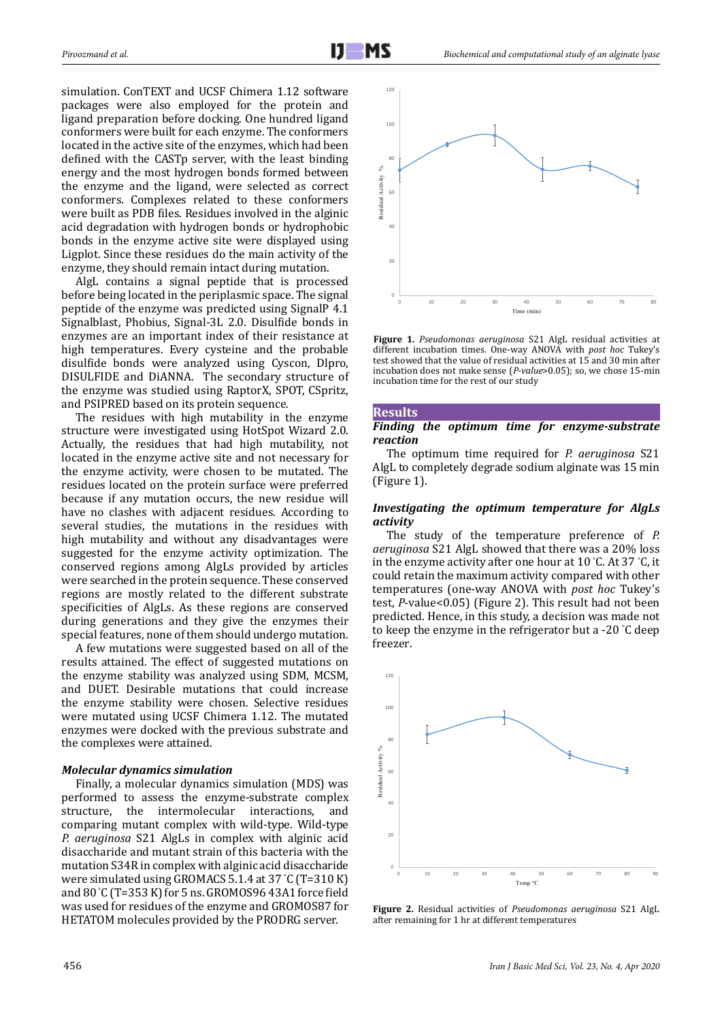simulation. ConTEXT and UCSF Chimera 1.12 software packages were also employed for the protein and ligand preparation before docking. One hundred ligand conformers were built for each enzyme. The conformers located in the active site of the enzymes, which had been defined with the CASTp server, with the least binding energy and the most hydrogen bonds formed between the enzyme and the ligand, were selected as correct conformers. Complexes related to these conformers were built as PDB files. Residues involved in the alginic acid degradation with hydrogen bonds or hydrophobic bonds in the enzyme active site were displayed using Ligplot. Since these residues do the main activity of the enzyme, they should remain intact during mutation.

AlgL contains a signal peptide that is processed before being located in the periplasmic space. The signal peptide of the enzyme was predicted using SignalP 4.1 Signalblast, Phobius, Signal-3L 2.0. Disulfide bonds in enzymes are an important index of their resistance at high temperatures. Every cysteine and the probable disulfide bonds were analyzed using Cyscon, Dlpro, DISULFIDE and DiANNA. The secondary structure of the enzyme was studied using RaptorX, SPOT, CSpritz, and PSIPRED based on its protein sequence.

The residues with high mutability in the enzyme structure were investigated using HotSpot Wizard 2.0. Actually, the residues that had high mutability, not located in the enzyme active site and not necessary for the enzyme activity, were chosen to be mutated. The residues located on the protein surface were preferred because if any mutation occurs, the new residue will have no clashes with adjacent residues. According to several studies, the mutations in the residues with high mutability and without any disadvantages were suggested for the enzyme activity optimization. The conserved regions among AlgLs provided by articles were searched in the protein sequence. These conserved regions are mostly related to the different substrate specificities of AlgLs. As these regions are conserved during generations and they give the enzymes their special features, none of them should undergo mutation.

A few mutations were suggested based on all of the results attained. The effect of suggested mutations on the enzyme stability was analyzed using SDM, MCSM, and DUET. Desirable mutations that could increase the enzyme stability were chosen. Selective residues were mutated using UCSF Chimera 1.12. The mutated enzymes were docked with the previous substrate and the complexes were attained.

## *Molecular dynamics simulation*

Finally, a molecular dynamics simulation (MDS) was performed to assess the enzyme-substrate complex structure, the intermolecular interactions, and comparing mutant complex with wild-type. Wild-type *P. aeruginosa* S21 AlgLs in complex with alginic acid disaccharide and mutant strain of this bacteria with the mutation S34R in complex with alginic acid disaccharide were simulated using GROMACS 5.1.4 at 37 ° C (T=310 K) and 80 ° C (T=353 K) for 5 ns. GROMOS96 43A1 force field was used for residues of the enzyme and GROMOS87 for HETATOM molecules provided by the PRODRG server.



**Figure 1.** *Pseudomonas aeruginosa* S21 AlgL residual activities at different incubation times. One-way ANOVA with *post hoc* Tukey's test showed that the value of residual activities at 15 and 30 min after incubation does not make sense (*P-value*>0.05); so, we chose 15-min incubation time for the rest of our study

#### **Results**

## *Finding the optimum time for enzyme-substrate reaction*

The optimum time required for *P. aeruginosa* S21 AlgL to completely degrade sodium alginate was 15 min (Figure 1).

## *Investigating the optimum temperature for AlgLs activity*

The study of the temperature preference of *P. aeruginosa* S21 AlgL showed that there was a 20% loss in the enzyme activity after one hour at 10 ° C. At 37 ° C, it could retain the maximum activity compared with other temperatures (one-way ANOVA with *post hoc* Tukey's test, *P*-value<0.05) (Figure 2). This result had not been predicted. Hence, in this study, a decision was made not to keep the enzyme in the refrigerator but a -20 ° C deep freezer.



**Figure 2.** Residual activities of *Pseudomonas aeruginosa* S21 AlgL after remaining for 1 hr at different temperatures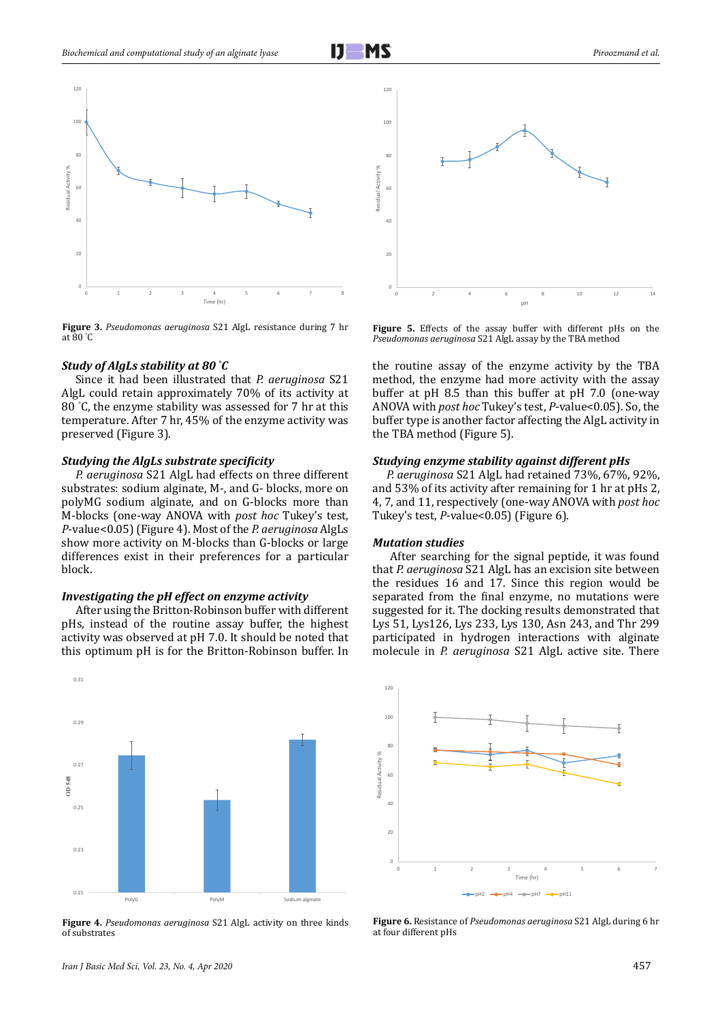

**Figure 3.** *Pseudomonas aeruginosa* S21 AlgL resistance during 7 hr at 80 ° C

#### *Study of AlgLs stability at 80 ° C*

Since it had been illustrated that *P. aeruginosa* S21 AlgL could retain approximately 70% of its activity at 80 ° C, the enzyme stability was assessed for 7 hr at this temperature. After 7 hr, 45% of the enzyme activity was preserved (Figure 3).

#### *Studying the AlgLs substrate specificity*

P. aeruginosa S21 AlgL had effects on three different substrates: sodium alginate, M-, and G- blocks, more on polyMG sodium alginate, and on G-blocks more than M-blocks (one-way ANOVA with *post hoc* Tukey's test, *P*-value<0.05) (Figure 4). Most of the *P. aeruginosa* AlgLs show more activity on M-blocks than G-blocks or large differences exist in their preferences for a particular block.

## *Investigating the pH effect on enzyme activity*

After using the Britton-Robinson buffer with different pHs, instead of the routine assay buffer, the highest activity was observed at pH 7.0. It should be noted that this optimum pH is for the Britton-Robinson buffer. In



**Figure 4.** *Pseudomonas aeruginosa* S21 AlgL activity on three kinds of substrates



**Figure 5.** Effects of the assay buffer with different pHs on the *Pseudomonas aeruginosa* S21 AlgL assay by the TBA method

the routine assay of the enzyme activity by the TBA method, the enzyme had more activity with the assay buffer at pH 8.5 than this buffer at pH 7.0 (one-way ANOVA with *post hoc* Tukey's test, *P*-value<0.05). So, the buffer type is another factor affecting the AlgL activity in the TBA method (Figure 5).

#### *Studying enzyme stability against different pHs*

*P. aeruginosa* S21 AlgL had retained 73%, 67%, 92%, and 53% of its activity after remaining for 1 hr at pHs 2, 5 4, 7, and 11, respectively (one-way ANOVA with *post hoc* Tukey's test, *P*-value<0.05) (Figure 6).

#### *Mutation studies*

 After searching for the signal peptide, it was found that *P. aeruginosa* S21 AlgL has an excision site between the residues 16 and 17. Since this region would be separated from the final enzyme, no mutations were suggested for it. The docking results demonstrated that Lys 51, Lys126, Lys 233, Lys 130, Asn 243, and Thr 299 participated in hydrogen interactions with alginate molecule in *P. aeruginosa* S21 AlgL active site. There



**Figure 6.** Resistance of *Pseudomonas aeruginosa* S21 AlgL during 6 hr at four different pHs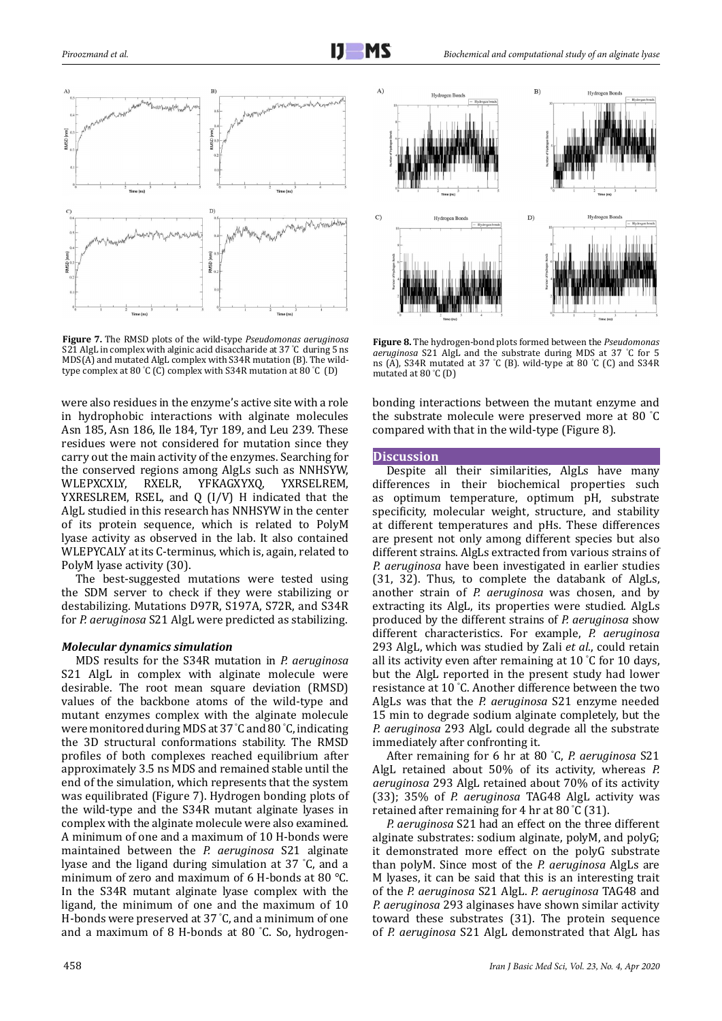

**Figure 7.** The RMSD plots of the wild-type *Pseudomonas aeruginosa* S21 AlgL in complex with alginic acid disaccharide at 37 ° C during 5 ns MDS(A) and mutated AlgL complex with S34R mutation (B). The wildtype complex at 80 ° C (C) complex with S34R mutation at 80 ° C (D)

were also residues in the enzyme's active site with a role in hydrophobic interactions with alginate molecules Asn 185, Asn 186, Ile 184, Tyr 189, and Leu 239. These residues were not considered for mutation since they carry out the main activity of the enzymes. Searching for the conserved regions among AlgLs such as NNHSYW,<br>WLEPXCXLY, RXELR, YFKAGXYXQ, YXRSELREM, WLEPXCXLY, RXELR, YFKAGXYXQ, YXRSELREM, YXRESLREM, RSEL, and Q (I/V) H indicated that the AlgL studied in this research has NNHSYW in the center of its protein sequence, which is related to PolyM lyase activity as observed in the lab. It also contained WLEPYCALY at its C-terminus, which is, again, related to PolyM lyase activity (30). YFKAGXYXQ,

The best-suggested mutations were tested using the SDM server to check if they were stabilizing or destabilizing. Mutations D97R, S197A, S72R, and S34R for *P. aeruginosa* S21 AlgL were predicted as stabilizing.

## *Molecular dynamics simulation*

MDS results for the S34R mutation in *P. aeruginosa* S21 AlgL in complex with alginate molecule were desirable. The root mean square deviation (RMSD) values of the backbone atoms of the wild-type and mutant enzymes complex with the alginate molecule were monitored during MDS at 37 ° C and 80 ° C, indicating the 3D structural conformations stability. The RMSD profiles of both complexes reached equilibrium after approximately 3.5 ns MDS and remained stable until the end of the simulation, which represents that the system was equilibrated (Figure 7). Hydrogen bonding plots of the wild-type and the S34R mutant alginate lyases in complex with the alginate molecule were also examined. A minimum of one and a maximum of 10 H-bonds were maintained between the *P. aeruginosa* S21 alginate lyase and the ligand during simulation at 37 ° C, and a minimum of zero and maximum of 6 H-bonds at 80 °C. In the S34R mutant alginate lyase complex with the ligand, the minimum of one and the maximum of 10 H-bonds were preserved at 37 ° C, and a minimum of one and a maximum of 8 H-bonds at 80 ° C. So, hydrogen-



**Figure 8.** The hydrogen-bond plots formed between the *Pseudomonas aeruginosa* S21 AlgL and the substrate during MDS at 37 ° C for 5 ns (A), S34R mutated at 37 ° C (B). wild-type at 80 ° C (C) and S34R mutated at 80 ° C (D)

bonding interactions between the mutant enzyme and the substrate molecule were preserved more at 80 ° C compared with that in the wild-type (Figure 8).

### **Discussion**

Despite all their similarities, AlgLs have many differences in their biochemical properties such as optimum temperature, optimum pH, substrate specificity, molecular weight, structure, and stability 8 at different temperatures and pHs. These differences are present not only among different species but also different strains. AlgLs extracted from various strains of *P. aeruginosa* have been investigated in earlier studies (31, 32). Thus, to complete the databank of AlgLs, another strain of *P. aeruginosa* was chosen, and by extracting its AlgL, its properties were studied. AlgLs produced by the different strains of *P. aeruginosa* show different characteristics. For example, *P. aeruginosa* 293 AlgL, which was studied by Zali *et al.*, could retain all its activity even after remaining at 10 ° C for 10 days, but the AlgL reported in the present study had lower resistance at 10 ° C. Another difference between the two AlgLs was that the *P. aeruginosa* S21 enzyme needed 15 min to degrade sodium alginate completely, but the *P. aeruginosa* 293 AlgL could degrade all the substrate immediately after confronting it.

After remaining for 6 hr at 80 ° C, *P. aeruginosa* S21 AlgL retained about 50% of its activity, whereas *P. aeruginosa* 293 AlgL retained about 70% of its activity (33); 35% of *P. aeruginosa* TAG48 AlgL activity was retained after remaining for 4 hr at 80 ° C (31).

*P. aeruginosa* S21 had an effect on the three different alginate substrates: sodium alginate, polyM, and polyG; it demonstrated more effect on the polyG substrate than polyM. Since most of the *P. aeruginosa* AlgLs are M lyases, it can be said that this is an interesting trait of the *P. aeruginosa* S21 AlgL. *P. aeruginosa* TAG48 and *P. aeruginosa* 293 alginases have shown similar activity toward these substrates (31). The protein sequence of *P. aeruginosa* S21 AlgL demonstrated that AlgL has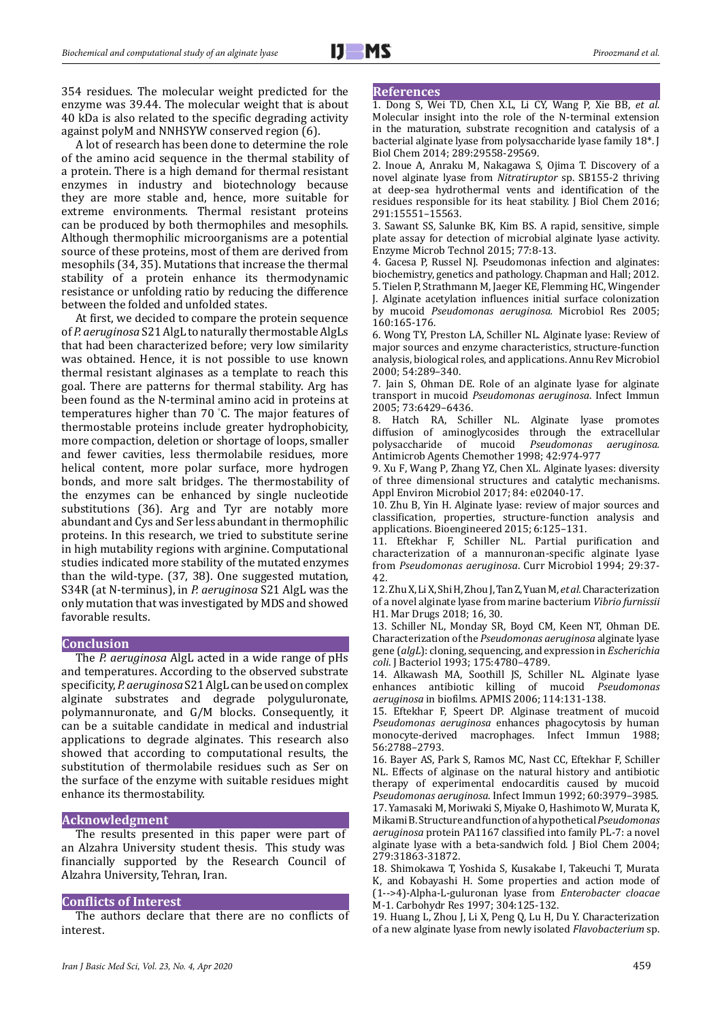354 residues. The molecular weight predicted for the enzyme was 39.44. The molecular weight that is about 40 kDa is also related to the specific degrading activity against polyM and NNHSYW conserved region (6).

A lot of research has been done to determine the role of the amino acid sequence in the thermal stability of a protein. There is a high demand for thermal resistant enzymes in industry and biotechnology because they are more stable and, hence, more suitable for extreme environments. Thermal resistant proteins can be produced by both thermophiles and mesophils. Although thermophilic microorganisms are a potential source of these proteins, most of them are derived from mesophils (34, 35). Mutations that increase the thermal stability of a protein enhance its thermodynamic resistance or unfolding ratio by reducing the difference between the folded and unfolded states.

At first, we decided to compare the protein sequence of *P. aeruginosa* S21 AlgL to naturally thermostable AlgLs that had been characterized before; very low similarity was obtained. Hence, it is not possible to use known thermal resistant alginases as a template to reach this goal. There are patterns for thermal stability. Arg has been found as the N-terminal amino acid in proteins at temperatures higher than 70 ° C. The major features of thermostable proteins include greater hydrophobicity, more compaction, deletion or shortage of loops, smaller and fewer cavities, less thermolabile residues, more helical content, more polar surface, more hydrogen bonds, and more salt bridges. The thermostability of the enzymes can be enhanced by single nucleotide substitutions (36). Arg and Tyr are notably more abundant and Cys and Ser less abundant in thermophilic proteins. In this research, we tried to substitute serine in high mutability regions with arginine. Computational studies indicated more stability of the mutated enzymes than the wild-type. (37, 38). One suggested mutation, S34R (at N-terminus), in *P. aeruginosa* S21 AlgL was the only mutation that was investigated by MDS and showed favorable results.

#### **Conclusion**

The *P. aeruginosa* AlgL acted in a wide range of pHs and temperatures. According to the observed substrate specificity, *P. aeruginosa* S21 AlgL can be used on complex alginate substrates and degrade polyguluronate, polymannuronate, and G/M blocks. Consequently, it can be a suitable candidate in medical and industrial applications to degrade alginates. This research also showed that according to computational results, the substitution of thermolabile residues such as Ser on the surface of the enzyme with suitable residues might enhance its thermostability.

## **Acknowledgment**

The results presented in this paper were part of an Alzahra University student thesis. This study was financially supported by the Research Council of Alzahra University, Tehran, Iran.

#### **Conflicts of Interest**

The authors declare that there are no conflicts of interest.

#### **References**

1. Dong S, Wei TD, Chen X.L, Li CY, Wang P, Xie BB, *et al.* Molecular insight into the role of the N-terminal extension in the maturation, substrate recognition and catalysis of a bacterial alginate lyase from polysaccharide lyase family 18\*. [J](https://www.ncbi.nlm.nih.gov/pubmed/27231344) [Biol Chem](https://www.ncbi.nlm.nih.gov/pubmed/27231344) 2014; 289:29558-29569.

2. Inoue A, Anraku M, Nakagawa S, Ojima T. Discovery of a novel alginate lyase from *Nitratiruptor* sp. SB155-2 thriving at deep-sea hydrothermal vents and identification of the residues responsible for its heat stability. [J Biol Chem](https://www.ncbi.nlm.nih.gov/pubmed/27231344) 2016; 291:15551–15563.

3. Sawant SS, Salunke BK, Kim BS. A rapid, sensitive, simple plate assay for detection of microbial alginate lyase activity. Enzyme Microb Technol 2015; 77:8-13.

4. Gacesa P, Russel NJ. Pseudomonas infection and alginates: biochemistry, genetics and pathology. Chapman and Hall; 2012. 5. Tielen P, Strathmann M, Jaeger KE, Flemming HC, Wingender J. Alginate acetylation influences initial surface colonization by mucoid *Pseudomonas aeruginosa.* [Microbiol Res](https://www.ncbi.nlm.nih.gov/pubmed/15881834) 2005;

160:165-176. 6. Wong TY, Preston LA, Schiller NL. Alginate lyase: Review of

major sources and enzyme characteristics, structure-function analysis, biological roles, and applications. Annu Rev Microbiol 2000; 54:289–340.

7. Jain S, Ohman DE. Role of an alginate lyase for alginate transport in mucoid *Pseudomonas aeruginosa*. Infect Immun 2005; 73:6429–6436.

8. Hatch RA, Schiller NL. Alginate lyase promotes diffusion of aminoglycosides through the extracellular polysaccharide of mucoid *Pseudomonas aeruginosa*. polysaccharide of mucoid *Pseudomonas aeruginosa.*  Antimicrob Agents Chemother 1998; 42:974-977

9. Xu F, Wang P, Zhang YZ, Chen XL. Alginate lyases: diversity of three dimensional structures and catalytic mechanisms. Appl Environ Microbiol 2017; 84: e02040-17.

10. Zhu B, Yin H. Alginate lyase: review of major sources and classification, properties, structure-function analysis and applications. Bioengineered 2015; 6:125–131.

11. Eftekhar F, Schiller NL. Partial purification and characterization of a mannuronan-specific alginate lyase from *Pseudomonas aeruginosa*. Curr Microbiol 1994; 29:37- 42.

12. Zhu X, Li X, Shi H, Zhou J, Tan Z, Yuan M, *et al.* Characterization of a novel alginate lyase from marine bacterium *Vibrio furnissii* H1. [Mar Drugs](https://www.ncbi.nlm.nih.gov/pubmed/29342949) 2018; 16, 30.

13. Schiller NL, Monday SR, Boyd CM, Keen NT, Ohman DE. Characterization of the *Pseudomonas aeruginosa* alginate lyase gene (*algL*): cloning, sequencing, and expression in *Escherichia coli*. [J Bacteriol](https://www.ncbi.nlm.nih.gov/pmc/articles/PMC204930/) 1993; 175:4780–4789.

14. Alkawash MA, Soothill JS, Schiller NL. Alginate lyase<br>enhances antibiotic killing of mucoid *Pseudomonas* enhances antibiotic killing of mucoid *aeruginosa* in biofilms. APMIS 2006; 114:131-138.

15. Eftekhar F, Speert DP. Alginase treatment of mucoid *Pseudomonas aeruginosa* enhances phagocytosis by human monocyte-derived macrophages. Infect Immun 1988; 56:2788–2793.

16. Bayer AS, Park S, Ramos MC, Nast CC, Eftekhar F, Schiller NL. Effects of alginase on the natural history and antibiotic therapy of experimental endocarditis caused by mucoid *Pseudomonas aeruginosa*. Infect Immun 1992; 60:3979–3985. 17. Yamasaki M, Moriwaki S, Miyake O, Hashimoto W, Murata K, Mikami B. Structure and function of a hypothetical*Pseudomonas aeruginosa* protein PA1167 classified into family PL-7: a novel alginate lyase with a beta-sandwich fold. [J Biol Chem](https://www.ncbi.nlm.nih.gov/pubmed/15136569) 2004; 279:31863-31872.

18. Shimokawa T, Yoshida S, Kusakabe I, Takeuchi T, Murata K, and Kobayashi H. Some properties and action mode of (1-->4)-Alpha-L-guluronan lyase from *Enterobacter cloacae* M-1. Carbohydr Res 1997; 304:125-132.

19*.* Huang L, Zhou J, Li X, Peng Q, Lu H, Du Y. Characterization of a new alginate lyase from newly isolated *Flavobacterium* sp.